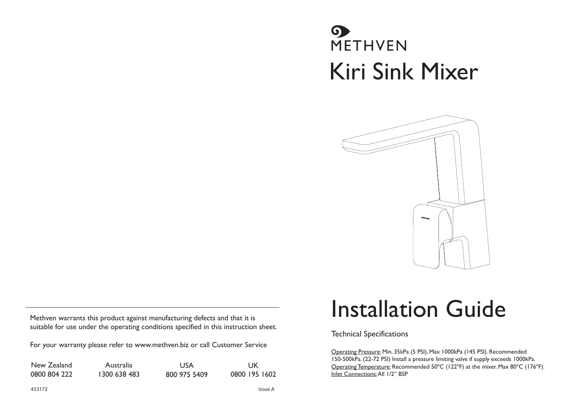## **O**<br>METHVEN Kiri Sink Mixer



Methven warrants this product against manufacturing defects and that it is suitable for use under the operating conditions specified in this instruction sheet.

For your warranty please refer to www.methven.biz or call Customer Service

| New Zealand  | Australia    | <b>USA</b>   | UK            |
|--------------|--------------|--------------|---------------|
| 0800 804 222 | 1300 638 483 | 800 975 5409 | 0800 195 1602 |

## Installation Guide

Technical Specifications

Operating Pressure: Min. 35kPa (5 PSI), Max 1000kPa (145 PSI). Recommended 150-500kPa. (22-72 PSI) Install a pressure limiting valve if supply exceeds 1000kPa. Operating Temperature: Recommended 50ºC (122ºF) at the mixer. Max 80ºC (176ºF). Inlet Connections: All 1/2" BSP